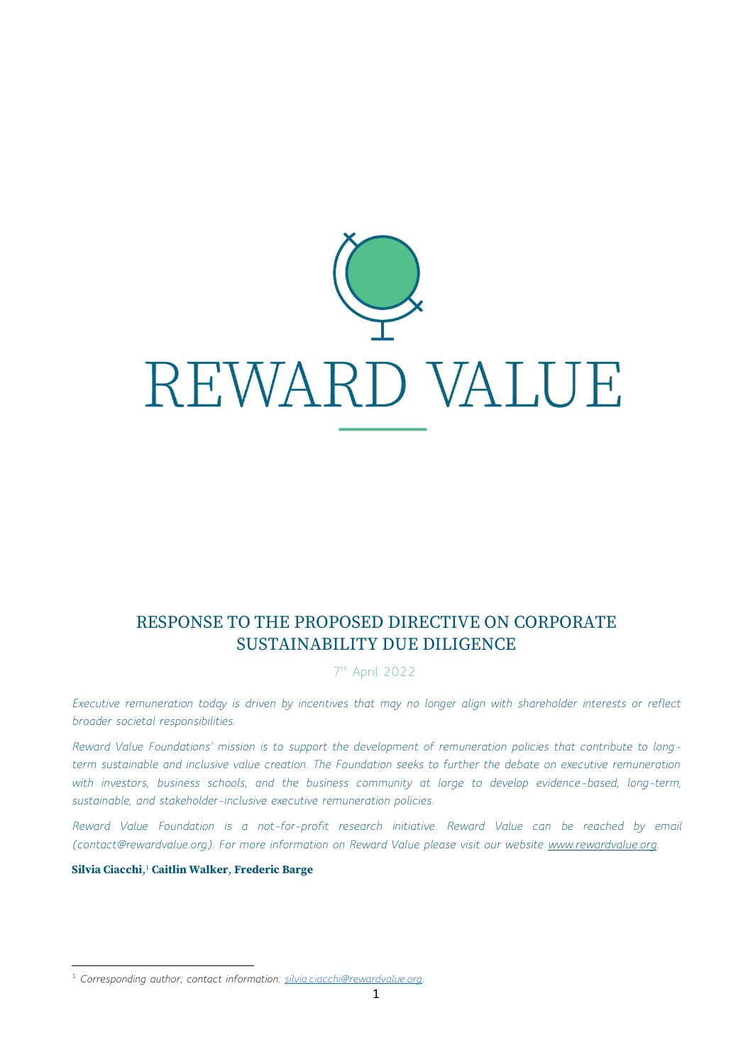

# RESPONSE TO THE PROPOSED DIRECTIVE ON CORPORATE SUSTAINABILITY DUE DILIGENCE

7 th April 2022

*Executive remuneration today is driven by incentives that may no longer align with shareholder interests or reflect broader societal responsibilities.*

*Reward Value Foundations' mission is to support the development of remuneration policies that contribute to longterm sustainable and inclusive value creation. The Foundation seeks to further the debate on executive remuneration*  with investors, business schools, and the business community at large to develop evidence-based, long-term, *sustainable, and stakeholder-inclusive executive remuneration policies.*

*Reward Value Foundation is a not-for-profit research initiative. Reward Value can be reached by email (contact@rewardvalue.org). For more information on Reward Value please visit our website [www.rewardvalue.org.](http://www.rewardvalue.org/)*

**Silvia Ciacchi**, <sup>1</sup> **Caitlin Walker**, **Frederic Barge**

<sup>1</sup> *Corresponding author; contact information: [silvia.ciacchi@rewardvalue.org.](mailto:silvia.ciacchi@rewardvalue.org)*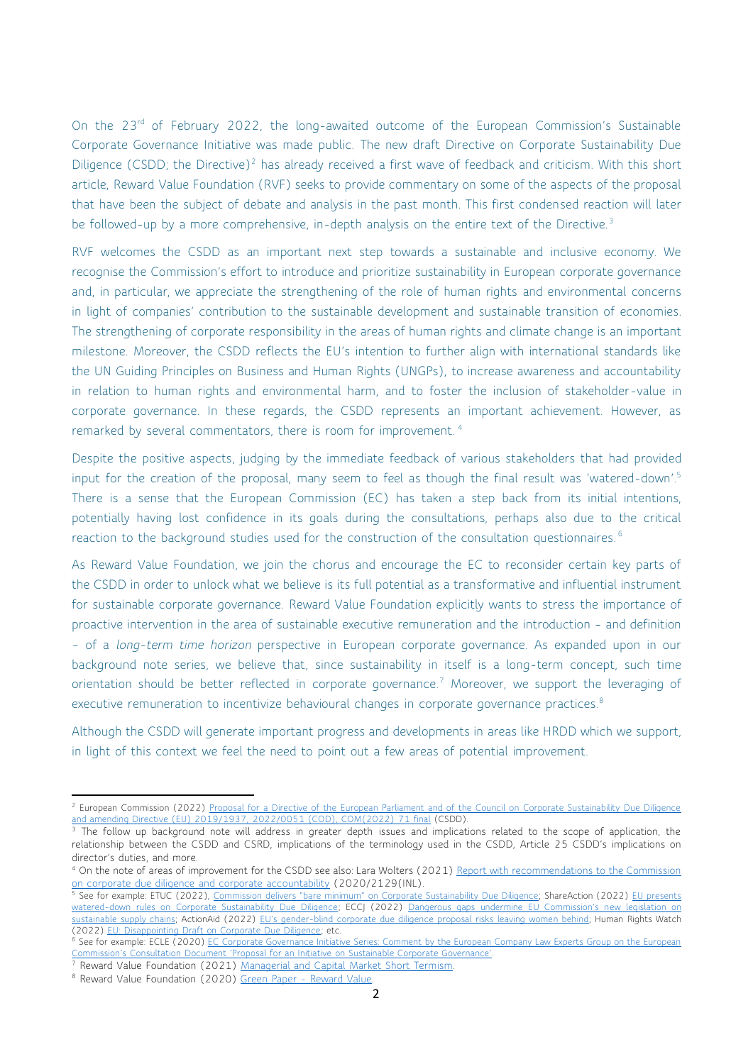On the 23<sup>rd</sup> of February 2022, the long-awaited outcome of the European Commission's Sustainable Corporate Governance Initiative was made public. The new draft Directive on Corporate Sustainability Due Diligence (CSDD; the Directive)<sup>2</sup> has already received a first wave of feedback and criticism. With this short article, Reward Value Foundation (RVF) seeks to provide commentary on some of the aspects of the proposal that have been the subject of debate and analysis in the past month. This first condensed reaction will later be followed-up by a more comprehensive, in-depth analysis on the entire text of the Directive.<sup>3</sup>

RVF welcomes the CSDD as an important next step towards a sustainable and inclusive economy. We recognise the Commission's effort to introduce and prioritize sustainability in European corporate governance and, in particular, we appreciate the strengthening of the role of human rights and environmental concerns in light of companies' contribution to the sustainable development and sustainable transition of economies. The strengthening of corporate responsibility in the areas of human rights and climate change is an important milestone. Moreover, the CSDD reflects the EU's intention to further align with international standards like the UN Guiding Principles on Business and Human Rights (UNGPs), to increase awareness and accountability in relation to human rights and environmental harm, and to foster the inclusion of stakeholder-value in corporate governance. In these regards, the CSDD represents an important achievement. However, as remarked by several commentators, there is room for improvement. <sup>4</sup>

Despite the positive aspects, judging by the immediate feedback of various stakeholders that had provided input for the creation of the proposal, many seem to feel as though the final result was 'watered-down'. 5 There is a sense that the European Commission (EC) has taken a step back from its initial intentions, potentially having lost confidence in its goals during the consultations, perhaps also due to the critical reaction to the background studies used for the construction of the consultation questionnaires.<sup>6</sup>

As Reward Value Foundation, we join the chorus and encourage the EC to reconsider certain key parts of the CSDD in order to unlock what we believe is its full potential as a transformative and influential instrument for sustainable corporate governance. Reward Value Foundation explicitly wants to stress the importance of proactive intervention in the area of sustainable executive remuneration and the introduction – and definition – of a *long-term time horizon* perspective in European corporate governance. As expanded upon in our background note series, we believe that, since sustainability in itself is a long-term concept, such time orientation should be better reflected in corporate governance. <sup>7</sup> Moreover, we support the leveraging of executive remuneration to incentivize behavioural changes in corporate governance practices.<sup>8</sup>

Although the CSDD will generate important progress and developments in areas like HRDD which we support, in light of this context we feel the need to point out a few areas of potential improvement.

<sup>&</sup>lt;sup>2</sup> European Commission (2022) Proposal for a Directive of the European Parliament and of the Council on Corporate Sustainability Due Diligence [and amending Directive \(EU\) 2019/1937, 2022/0051 \(COD\), COM\(2022\) 71 final](https://ec.europa.eu/info/sites/default/files/1_1_183885_prop_dir_susta_en.pdf) (CSDD).

<sup>&</sup>lt;sup>3</sup> The follow up background note will address in greater depth issues and implications related to the scope of application, the relationship between the CSDD and CSRD, implications of the terminology used in the CSDD, Article 25 CSDD's implications on director's duties, and more.

<sup>4</sup> On the note of areas of improvement for the CSDD see also: Lara Wolters (2021[\) Report with recommendations to the Commission](https://www.europarl.europa.eu/doceo/document/A-9-2021-0018_EN.html)  [on corporate due diligence and corporate accountability](https://www.europarl.europa.eu/doceo/document/A-9-2021-0018_EN.html) [\(2020/2129\(INL\).](https://oeil.secure.europarl.europa.eu/oeil/popups/ficheprocedure.do?lang=en&reference=2020/2129(INL))

<sup>&</sup>lt;sup>5</sup> See for example: ETUC (2022), <u>[Commission delivers "bare minimum" on Corporate Sustainability Due Diligence](https://www.etuc.org/en/pressrelease/commission-delivers-bare-minimum-corporate-sustainability-due-diligence); ShareAction (2022) <u>EU presents</u></u> [watered-down rules on Corporate Sustainability Due Diligence;](https://shareaction.org/news/eu-presents-watered-down-rules-on-corporate-sustainability-due-diligence) ECCJ (2022) [Dangerous gaps undermine EU Commission's n](https://corporatejustice.org/news/dangerous-gaps-undermine-eu-commissions-new-legislation-on-sustainable-supply-chains/)ew legislation on [sustainable supply chains;](https://corporatejustice.org/news/dangerous-gaps-undermine-eu-commissions-new-legislation-on-sustainable-supply-chains/) ActionAid (2022) EU's gender[-blind corporate due diligence proposal risks leaving women behind;](https://actionaid.org/news/2022/eus-gender-blind-corporate-due-diligence-proposal-risks-leaving-women-behind) Human Rights Watch (2022) [EU: Disappointing Draft on Corporate Due Diligence;](https://www.hrw.org/news/2022/02/28/eu-disappointing-draft-corporate-due-diligence) etc.

<sup>6</sup> See for example: ECLE (2020) EC Corporate Governance Initiative Series: Comment by the European Company Law Experts Group on the European Commission['s Consultation Document 'Proposal for an Initiative on Sustainable Corporate Governance'](https://www.law.ox.ac.uk/business-law-blog/blog/2020/12/ec-corporate-governance-initiative-series-comment-european-company).

<sup>7</sup> Reward Value Foundation (2021) [Managerial and Capital Market Short Termism.](https://www.rewardvalue.org/wp-content/uploads/2021/01/Reward-Value-Background-note-short-termism.pdf)

<sup>&</sup>lt;sup>8</sup> Reward Value Foundation (2020) [Green Paper -](https://www.rewardvalue.org/news/publications/) Reward Value.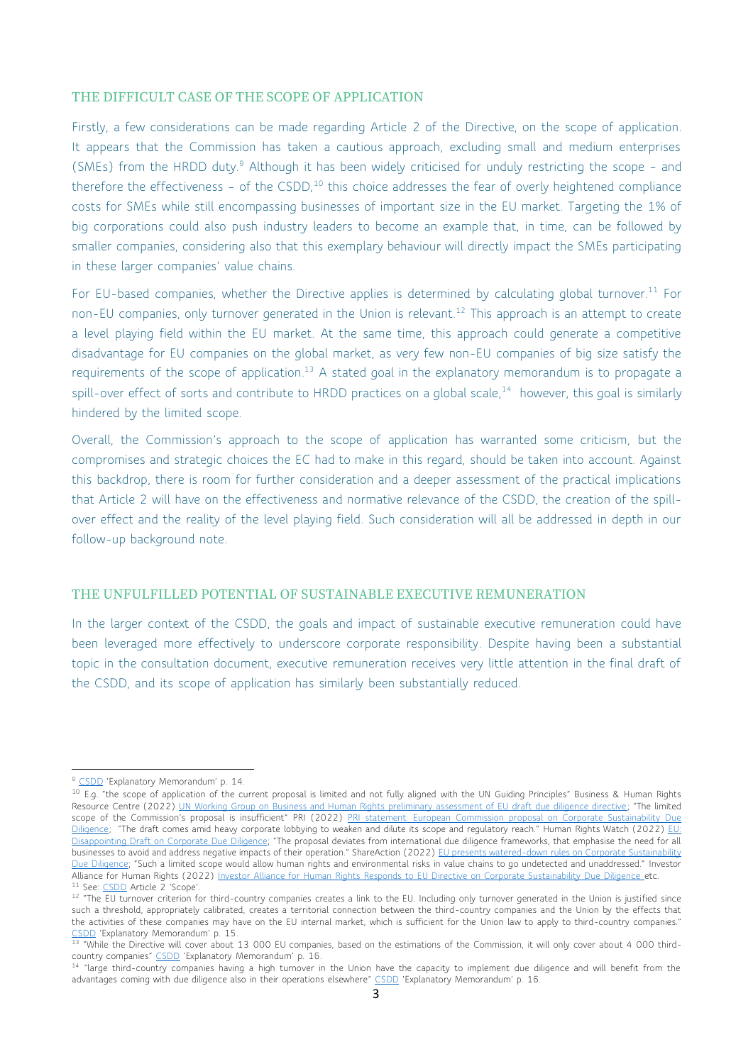# THE DIFFICULT CASE OF THE SCOPE OF APPLICATION

Firstly, a few considerations can be made regarding Article 2 of the Directive, on the scope of application. It appears that the Commission has taken a cautious approach, excluding small and medium enterprises (SMEs) from the HRDD duty.<sup>9</sup> Although it has been widely criticised for unduly restricting the scope - and therefore the effectiveness - of the CSDD,<sup>10</sup> this choice addresses the fear of overly heightened compliance costs for SMEs while still encompassing businesses of important size in the EU market. Targeting the 1% of big corporations could also push industry leaders to become an example that, in time, can be followed by smaller companies, considering also that this exemplary behaviour will directly impact the SMEs participating in these larger companies' value chains.

For EU-based companies, whether the Directive applies is determined by calculating global turnover.<sup>11</sup> For non-EU companies, only turnover generated in the Union is relevant. <sup>12</sup> This approach is an attempt to create a level playing field within the EU market. At the same time, this approach could generate a competitive disadvantage for EU companies on the global market, as very few non-EU companies of big size satisfy the requirements of the scope of application.<sup>13</sup> A stated goal in the explanatory memorandum is to propagate a spill-over effect of sorts and contribute to HRDD practices on a global scale,<sup>14</sup> however, this goal is similarly hindered by the limited scope.

Overall, the Commission's approach to the scope of application has warranted some criticism, but the compromises and strategic choices the EC had to make in this regard, should be taken into account. Against this backdrop, there is room for further consideration and a deeper assessment of the practical implications that Article 2 will have on the effectiveness and normative relevance of the CSDD, the creation of the spillover effect and the reality of the level playing field. Such consideration will all be addressed in depth in our follow-up background note.

#### THE UNFULFILLED POTENTIAL OF SUSTAINABLE EXECUTIVE REMUNERATION

In the larger context of the CSDD, the goals and impact of sustainable executive remuneration could have been leveraged more effectively to underscore corporate responsibility. Despite having been a substantial topic in the consultation document, executive remuneration receives very little attention in the final draft of the CSDD, and its scope of application has similarly been substantially reduced.

<sup>&</sup>lt;sup>9</sup> [CSDD](about:blank) 'Explanatory Memorandum' p. 14.

<sup>&</sup>lt;sup>10</sup> E.g. "the scope of application of the current proposal is limited and not fully aligned with the UN Guiding Principles" Business & Human Rights Resource Centre (2022) [UN Working Group on Business and Human Rights preliminary assessment of EU draft due diligence directive;](https://www.business-humanrights.org/en/latest-news/un-working-group-on-business-and-human-rights-preliminary-assessment-of-eu-draft-due-diligence-directive/) "The limited scope of the Commission's proposal is insufficient" PRI (2022) PRI statement: European Commission proposal on Corporate Sustainability Due [Diligence;](https://www.unpri.org/download?ac=15897) "The draft comes amid heavy corporate lobbying to weaken and dilute its scope and regulatory reach." Human Rights Watch (2022) EU: [Disappointing Draft on Corporate Due Diligence;](https://www.hrw.org/news/2022/02/28/eu-disappointing-draft-corporate-due-diligence) "The proposal deviates from international due diligence frameworks, that emphasise the need for all businesses to avoid and address negative impacts of their operation." ShareAction (2022) EU presents watered-down rules on Corporate Sustainability [Due Diligence;](https://shareaction.org/news/eu-presents-watered-down-rules-on-corporate-sustainability-due-diligence) "Such a limited scope would allow human rights and environmental risks in value chains to go undetected and unaddressed." Investor Alliance for Human Rights (2022) [Investor Alliance for Human Rights Responds to EU Directive on Corporate Sustainability Due Diligence](https://investorsforhumanrights.org/news/investor-alliance-human-rights-responds-eu-directive-corporate-sustainability-due-diligence) etc. <sup>11</sup> See: [CSDD](https://ec.europa.eu/info/sites/default/files/1_1_183885_prop_dir_susta_en.pdf) Article 2 'Scope'.

<sup>12 &</sup>quot;The EU turnover criterion for third-country companies creates a link to the EU. Including only turnover generated in the Union is justified since such a threshold, appropriately calibrated, creates a territorial connection between the third-country companies and the Union by the effects that the activities of these companies may have on the EU internal market, which is sufficient for the Union law to apply to third-country companies." [CSDD](https://ec.europa.eu/info/sites/default/files/1_1_183885_prop_dir_susta_en.pdf) 'Explanatory Memorandum' p. 15.

<sup>&</sup>lt;sup>13</sup> "While the Directive will cover about 13 000 EU companies, based on the estimations of the Commission, it will only cover about 4 000 thirdcountry companies" [CSDD](https://ec.europa.eu/info/sites/default/files/1_1_183885_prop_dir_susta_en.pdf) 'Explanatory Memorandum' p. 16.

<sup>&</sup>lt;sup>14</sup> "large third-country companies having a high turnover in the Union have the capacity to implement due diligence and will benefit from the advantages coming with due diligence also in their operations elsewhere" [CSDD](https://ec.europa.eu/info/sites/default/files/1_1_183885_prop_dir_susta_en.pdf) 'Explanatory Memorandum' p. 16.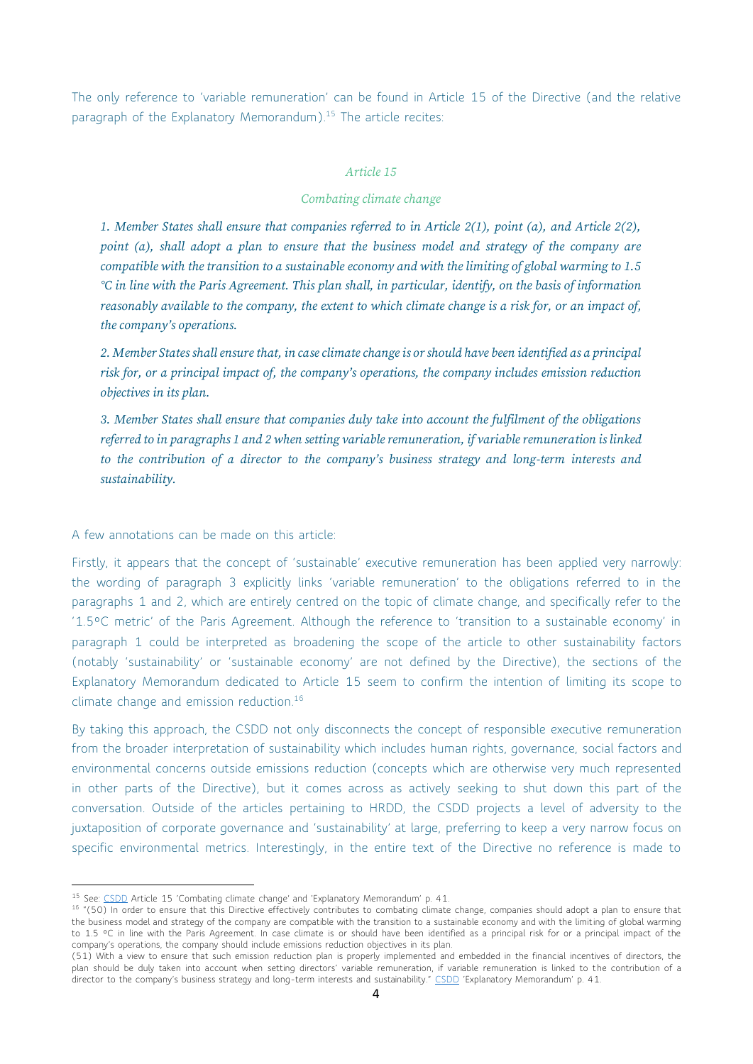The only reference to 'variable remuneration' can be found in Article 15 of the Directive (and the relative paragraph of the Explanatory Memorandum). <sup>15</sup> The article recites:

#### *Article 15*

#### *Combating climate change*

*1. Member States shall ensure that companies referred to in Article 2(1), point (a), and Article 2(2), point (a), shall adopt a plan to ensure that the business model and strategy of the company are compatible with the transition to a sustainable economy and with the limiting of global warming to 1.5 °C in line with the Paris Agreement. This plan shall, in particular, identify, on the basis of information reasonably available to the company, the extent to which climate change is a risk for, or an impact of, the company's operations.* 

*2. Member States shall ensure that, in case climate change is or should have been identified as a principal risk for, or a principal impact of, the company's operations, the company includes emission reduction objectives in its plan.* 

*3. Member States shall ensure that companies duly take into account the fulfilment of the obligations referred to in paragraphs 1 and 2 when setting variable remuneration, if variable remuneration is linked to the contribution of a director to the company's business strategy and long-term interests and sustainability.*

#### A few annotations can be made on this article:

Firstly, it appears that the concept of 'sustainable' executive remuneration has been applied very narrowly: the wording of paragraph 3 explicitly links 'variable remuneration' to the obligations referred to in the paragraphs 1 and 2, which are entirely centred on the topic of climate change, and specifically refer to the '1.5°C metric' of the Paris Agreement. Although the reference to 'transition to a sustainable economy' in paragraph 1 could be interpreted as broadening the scope of the article to other sustainability factors (notably 'sustainability' or 'sustainable economy' are not defined by the Directive), the sections of the Explanatory Memorandum dedicated to Article 15 seem to confirm the intention of limiting its scope to climate change and emission reduction. 16

By taking this approach, the CSDD not only disconnects the concept of responsible executive remuneration from the broader interpretation of sustainability which includes human rights, governance, social factors and environmental concerns outside emissions reduction (concepts which are otherwise very much represented in other parts of the Directive), but it comes across as actively seeking to shut down this part of the conversation. Outside of the articles pertaining to HRDD, the CSDD projects a level of adversity to the juxtaposition of corporate governance and 'sustainability' at large, preferring to keep a very narrow focus on specific environmental metrics. Interestingly, in the entire text of the Directive no reference is made to

<sup>&</sup>lt;sup>15</sup> See: [CSDD](https://ec.europa.eu/info/sites/default/files/1_1_183885_prop_dir_susta_en.pdf) Article 15 'Combating climate change' and 'Explanatory Memorandum' p. 41.

<sup>&</sup>lt;sup>16</sup> "(50) In order to ensure that this Directive effectively contributes to combating climate change, companies should adopt a plan to ensure that the business model and strategy of the company are compatible with the transition to a sustainable economy and with the limiting of global warming to 1.5 °C in line with the Paris Agreement. In case climate is or should have been identified as a principal risk for or a principal impact of the company's operations, the company should include emissions reduction objectives in its plan.

<sup>(51)</sup> With a view to ensure that such emission reduction plan is properly implemented and embedded in the financial incentives of directors, the plan should be duly taken into account when setting directors' variable remuneration, if variable remuneration is linked to the contribution of a director to the company's business strategy and long-term interests and sustainability." [CSDD](about:blank) 'Explanatory Memorandum' p. 41.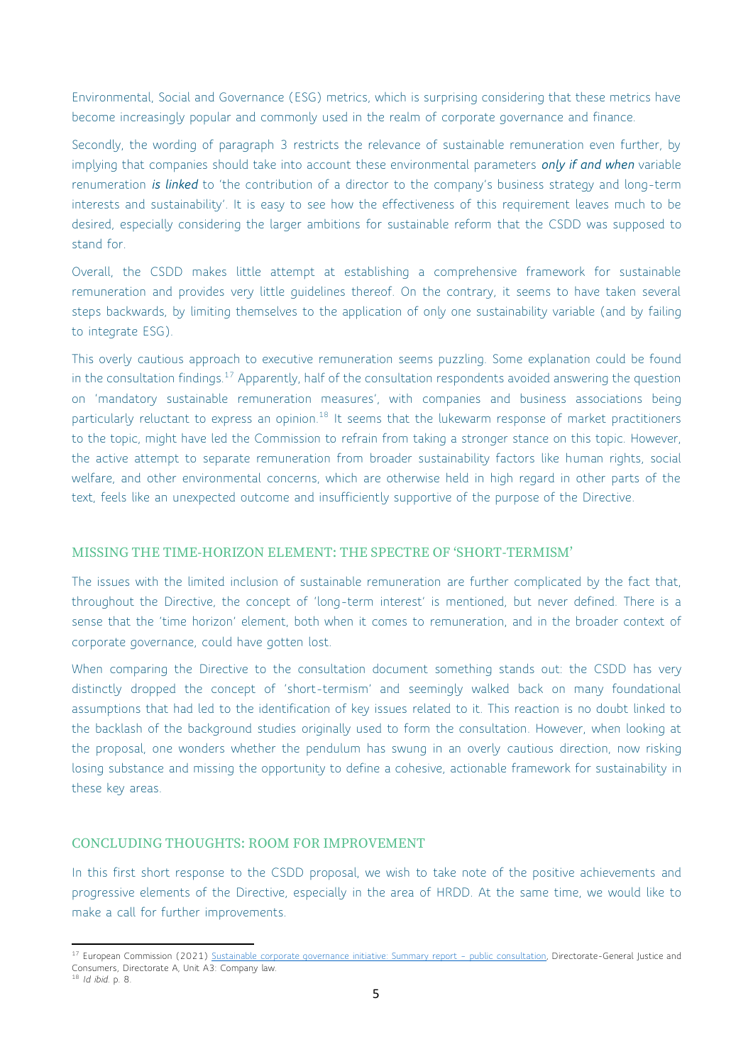Environmental, Social and Governance (ESG) metrics, which is surprising considering that these metrics have become increasingly popular and commonly used in the realm of corporate governance and finance.

Secondly, the wording of paragraph 3 restricts the relevance of sustainable remuneration even further, by implying that companies should take into account these environmental parameters *only if and when* variable renumeration *is linked* to 'the contribution of a director to the company's business strategy and long-term interests and sustainability'. It is easy to see how the effectiveness of this requirement leaves much to be desired, especially considering the larger ambitions for sustainable reform that the CSDD was supposed to stand for.

Overall, the CSDD makes little attempt at establishing a comprehensive framework for sustainable remuneration and provides very little guidelines thereof. On the contrary, it seems to have taken several steps backwards, by limiting themselves to the application of only one sustainability variable (and by failing to integrate ESG).

This overly cautious approach to executive remuneration seems puzzling. Some explanation could be found in the consultation findings.<sup>17</sup> Apparently, half of the consultation respondents avoided answering the question on 'mandatory sustainable remuneration measures', with companies and business associations being particularly reluctant to express an opinion.<sup>18</sup> It seems that the lukewarm response of market practitioners to the topic, might have led the Commission to refrain from taking a stronger stance on this topic. However, the active attempt to separate remuneration from broader sustainability factors like human rights, social welfare, and other environmental concerns, which are otherwise held in high regard in other parts of the text, feels like an unexpected outcome and insufficiently supportive of the purpose of the Directive.

# MISSING THE TIME-HORIZON ELEMENT: THE SPECTRE OF 'SHORT-TERMISM'

The issues with the limited inclusion of sustainable remuneration are further complicated by the fact that, throughout the Directive, the concept of 'long-term interest' is mentioned, but never defined. There is a sense that the 'time horizon' element, both when it comes to remuneration, and in the broader context of corporate governance, could have gotten lost.

When comparing the Directive to the consultation document something stands out: the CSDD has very distinctly dropped the concept of 'short-termism' and seemingly walked back on many foundational assumptions that had led to the identification of key issues related to it. This reaction is no doubt linked to the backlash of the background studies originally used to form the consultation. However, when looking at the proposal, one wonders whether the pendulum has swung in an overly cautious direction, now risking losing substance and missing the opportunity to define a cohesive, actionable framework for sustainability in these key areas.

## CONCLUDING THOUGHTS: ROOM FOR IMPROVEMENT

In this first short response to the CSDD proposal, we wish to take note of the positive achievements and progressive elements of the Directive, especially in the area of HRDD. At the same time, we would like to make a call for further improvements.

<sup>&</sup>lt;sup>17</sup> European Commission (2021) [Sustainable corporate governance initiative: Summary report](https://ec.europa.eu/info/law/better-regulation/have-your-say/initiatives/12548-Sustainable-corporate-governance/public-consultation_it) - public consultation, Directorate-General Justice and Consumers, Directorate A, Unit A3: Company law.

<sup>18</sup> *Id ibid*. p. 8.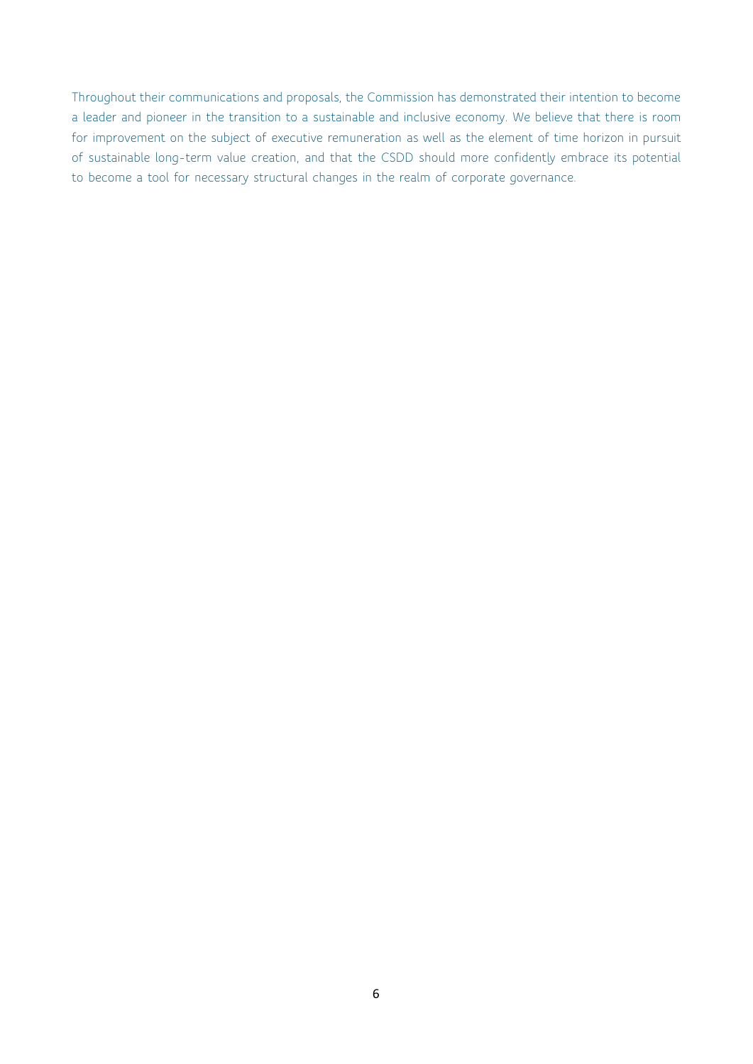Throughout their communications and proposals, the Commission has demonstrated their intention to become a leader and pioneer in the transition to a sustainable and inclusive economy. We believe that there is room for improvement on the subject of executive remuneration as well as the element of time horizon in pursuit of sustainable long-term value creation, and that the CSDD should more confidently embrace its potential to become a tool for necessary structural changes in the realm of corporate governance.